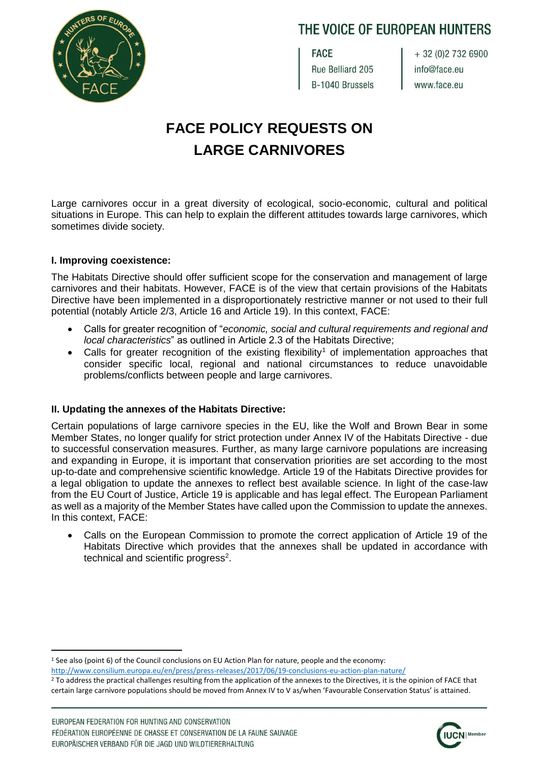

# THE VOICE OF EUROPEAN HUNTERS

**FACE** Rue Belliard 205 B-1040 Brussels

+ 32 (0) 2 732 6900 info@face.eu www.face.eu

# **FACE POLICY REQUESTS ON LARGE CARNIVORES**

Large carnivores occur in a great diversity of ecological, socio-economic, cultural and political situations in Europe. This can help to explain the different attitudes towards large carnivores, which sometimes divide society.

### **I. Improving coexistence:**

The Habitats Directive should offer sufficient scope for the conservation and management of large carnivores and their habitats. However, FACE is of the view that certain provisions of the Habitats Directive have been implemented in a disproportionately restrictive manner or not used to their full potential (notably Article 2/3, Article 16 and Article 19). In this context, FACE:

- Calls for greater recognition of "*economic, social and cultural requirements and regional and local characteristics*" as outlined in Article 2.3 of the Habitats Directive;
- Calls for greater recognition of the existing flexibility<sup>1</sup> of implementation approaches that consider specific local, regional and national circumstances to reduce unavoidable problems/conflicts between people and large carnivores.

## **II. Updating the annexes of the Habitats Directive:**

Certain populations of large carnivore species in the EU, like the Wolf and Brown Bear in some Member States, no longer qualify for strict protection under Annex IV of the Habitats Directive - due to successful conservation measures. Further, as many large carnivore populations are increasing and expanding in Europe, it is important that conservation priorities are set according to the most up-to-date and comprehensive scientific knowledge. Article 19 of the Habitats Directive provides for a legal obligation to update the annexes to reflect best available science. In light of the case-law from the EU Court of Justice, Article 19 is applicable and has legal effect. The European Parliament as well as a majority of the Member States have called upon the Commission to update the annexes. In this context, FACE:

• Calls on the European Commission to promote the correct application of Article 19 of the Habitats Directive which provides that the annexes shall be updated in accordance with technical and scientific progress<sup>2</sup>.



 $\overline{a}$ <sup>1</sup> See also (point 6) of the Council conclusions on EU Action Plan for nature, people and the economy: <http://www.consilium.europa.eu/en/press/press-releases/2017/06/19-conclusions-eu-action-plan-nature/>

<sup>&</sup>lt;sup>2</sup> To address the practical challenges resulting from the application of the annexes to the Directives, it is the opinion of FACE that certain large carnivore populations should be moved from Annex IV to V as/when 'Favourable Conservation Status' is attained.